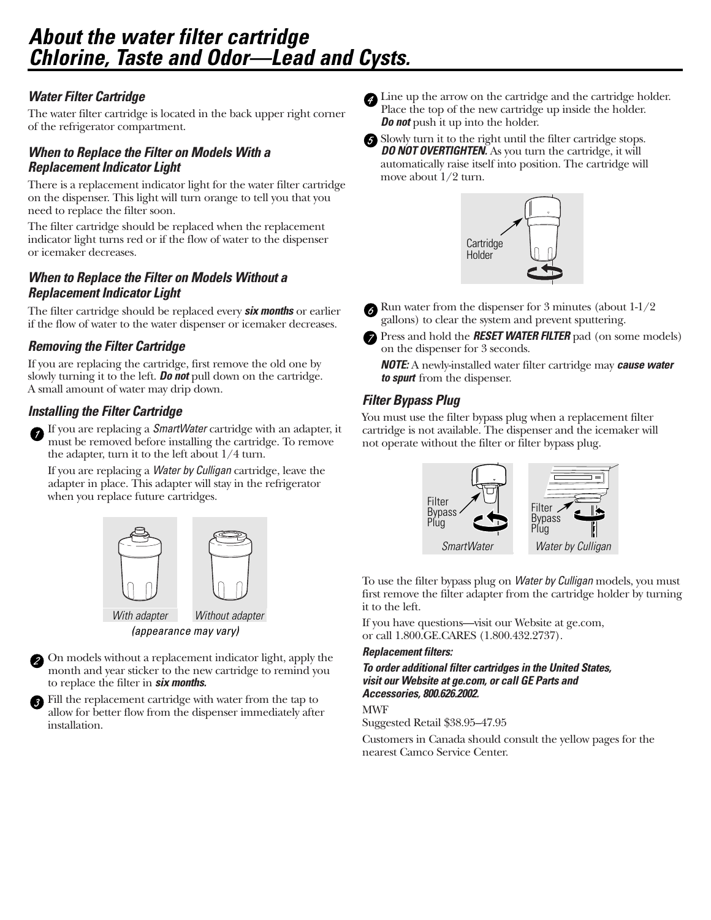# *About the water filter cartridge Chlorine, Taste and Odor—Lead and Cysts.*

## *Water Filter Cartridge*

The water filter cartridge is located in the back upper right corner of the refrigerator compartment.

## *When to Replace the Filter on Models With a Replacement Indicator Light*

There is a replacement indicator light for the water filter cartridge on the dispenser. This light will turn orange to tell you that you need to replace the filter soon.

The filter cartridge should be replaced when the replacement indicator light turns red or if the flow of water to the dispenser or icemaker decreases.

## *When to Replace the Filter on Models Without a Replacement Indicator Light*

The filter cartridge should be replaced every *six months* or earlier if the flow of water to the water dispenser or icemaker decreases.

## *Removing the Filter Cartridge*

If you are replacing the cartridge, first remove the old one by slowly turning it to the left. *Do not* pull down on the cartridge. A small amount of water may drip down.

## *Installing the Filter Cartridge*

If you are replacing a *SmartWater* cartridge with an adapter, it must be removed before installing the cartridge. To remove the adapter, turn it to the left about 1/4 turn.

If you are replacing a *Water by Culligan* cartridge, leave the adapter in place. This adapter will stay in the refrigerator when you replace future cartridges.



On models without a replacement indicator light, apply the 2 month and year sticker to the new cartridge to remind you to replace the filter in *six months.*

Fill the replacement cartridge with water from the tap to allow for better flow from the dispenser immediately after installation.

- Line up the arrow on the cartridge and the cartridge holder. Place the top of the new cartridge up inside the holder. *Do not* push it up into the holder.
- 

Slowly turn it to the right until the filter cartridge stops. *DO NOT OVERTIGHTEN.* As you turn the cartridge, it will automatically raise itself into position. The cartridge will move about 1/2 turn.



Run water from the dispenser for 3 minutes (about 1-1/2 gallons) to clear the system and prevent sputtering.

Press and hold the *RESET WATER FILTER* pad (on some models) on the dispenser for 3 seconds.

*NOTE:* A newly-installed water filter cartridge may *cause water to spurt* from the dispenser.

## *Filter Bypass Plug*

You must use the filter bypass plug when a replacement filter cartridge is not available. The dispenser and the icemaker will not operate without the filter or filter bypass plug.



To use the filter bypass plug on *Water by Culligan* models, you must first remove the filter adapter from the cartridge holder by turning it to the left.

If you have questions—visit our Website at ge.com, or call 1.800.GE.CARES (1.800.432.2737).

#### *Replacement filters:*

*To order additional filter cartridges in the United States, visit our Website at ge.com, or call GE Parts and Accessories, 800.626.2002.*

MWF

Suggested Retail \$38.95–47.95

Customers in Canada should consult the yellow pages for the nearest Camco Service Center.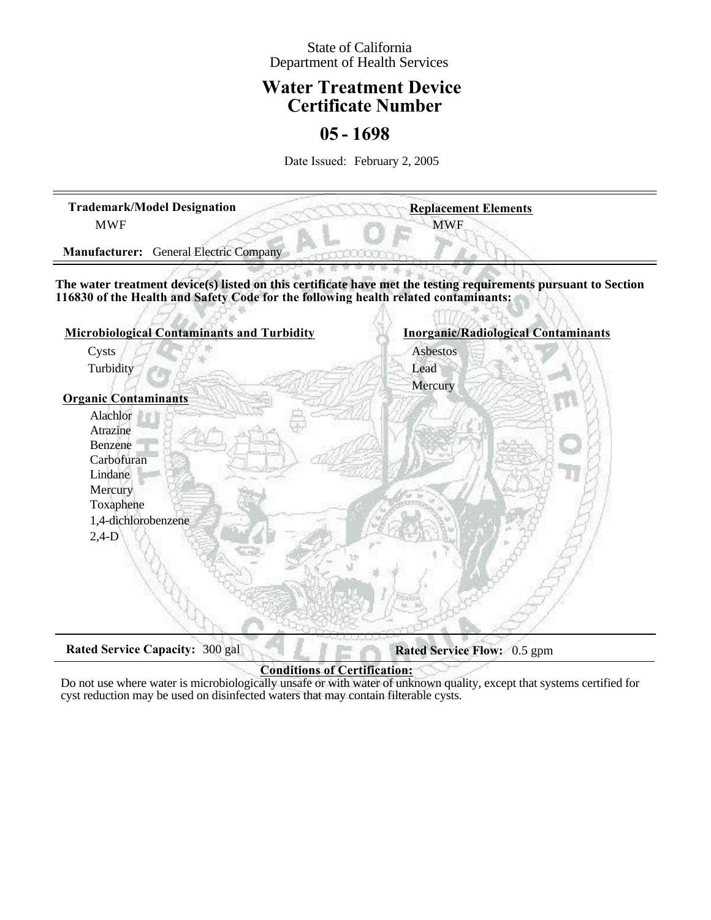### State of California Department of Health Services

## **Water Treatment Device Certificate Number**

## **05 - 1698**

Date Issued: February 2, 2005

| <b>Trademark/Model Designation</b><br><b>MWF</b>                                                                                                                                                      | <b>Replacement Elements</b><br><b>MWF</b>  |
|-------------------------------------------------------------------------------------------------------------------------------------------------------------------------------------------------------|--------------------------------------------|
| <b>General Electric Company</b><br><b>Manufacturer:</b>                                                                                                                                               |                                            |
| The water treatment device(s) listed on this certificate have met the testing requirements pursuant to Section<br>116830 of the Health and Safety Code for the following health related contaminants: |                                            |
| <b>Microbiological Contaminants and Turbidity</b>                                                                                                                                                     | <b>Inorganic/Radiological Contaminants</b> |
| Cysts                                                                                                                                                                                                 | Asbestos                                   |
| Turbidity                                                                                                                                                                                             | Lead                                       |
|                                                                                                                                                                                                       | Mercury                                    |
| <b>Organic Contaminants</b>                                                                                                                                                                           |                                            |
| Alachlor                                                                                                                                                                                              |                                            |
| Atrazine                                                                                                                                                                                              |                                            |
| Benzene                                                                                                                                                                                               |                                            |
| Carbofuran                                                                                                                                                                                            |                                            |
| Lindane                                                                                                                                                                                               |                                            |
| Mercury                                                                                                                                                                                               |                                            |
| Toxaphene                                                                                                                                                                                             |                                            |
| 1,4-dichlorobenzene                                                                                                                                                                                   |                                            |
| $2,4-D$                                                                                                                                                                                               |                                            |
|                                                                                                                                                                                                       |                                            |
|                                                                                                                                                                                                       |                                            |
|                                                                                                                                                                                                       |                                            |
|                                                                                                                                                                                                       |                                            |
|                                                                                                                                                                                                       |                                            |
|                                                                                                                                                                                                       |                                            |
| <b>Rated Service Capacity:</b><br>300 gal                                                                                                                                                             | Rated Service Flow: 0.5 gpm                |

## **Conditions of Certification:**

Do not use where water is microbiologically unsafe or with water of unknown quality, except that systems certified for cyst reduction may be used on disinfected waters that may contain filterable cysts.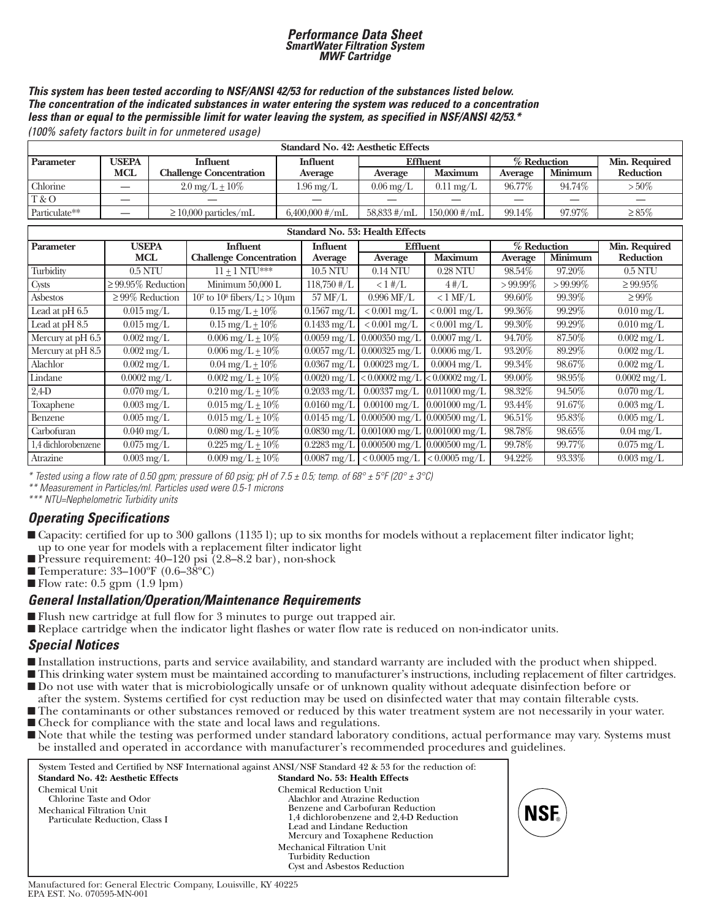## *Performance Data Sheet SmartWater Filtration System MWF Cartridge*

#### *This system has been tested according to NSF/ANSI 42/53 for reduction of the substances listed below. The concentration of the indicated substances in water entering the system was reduced to a concentration less than or equal to the permissible limit for water leaving the system, as specified in NSF/ANSI 42/53.\**

*(100% safety factors built in for unmetered usage)*

| <b>Standard No. 42: Aesthetic Effects</b>        |            |                                |                                                   |                        |                     |         |                |             |
|--------------------------------------------------|------------|--------------------------------|---------------------------------------------------|------------------------|---------------------|---------|----------------|-------------|
| Parameter                                        | USEPA      | <b>Influent</b>                | % Reduction<br><b>Effluent</b><br><b>Influent</b> |                        |                     |         | Min. Required  |             |
|                                                  | <b>MCL</b> | <b>Challenge Concentration</b> | Average                                           | Average                | <b>Maximum</b>      | Average | <b>Minimum</b> | Reduction   |
| Chlorine                                         |            | $2.0 \,\mathrm{mg/L} \pm 10\%$ | $1.96 \,\mathrm{mg/L}$                            | $0.06 \,\mathrm{mg/L}$ | $0.11 \text{ mg/L}$ | 96.77%  | 94.74%         | $> 50\%$    |
| T & O                                            |            |                                |                                                   |                        |                     |         |                |             |
| Particulate**                                    |            | $\geq$ 10,000 particles/mL     | $6,400,000$ #/mL                                  | $58,833 \#/\text{mL}$  | $150,000$ #/mL      | 99.14%  | 97.97%         | $\geq 85\%$ |
| $M = 1.1$ Times and $M = 1$<br>$\alpha$ $\alpha$ |            |                                |                                                   |                        |                     |         |                |             |

| Standard No. 53: Health Effects |                          |                                           |                                 |                                                          |                             |                |            |                          |
|---------------------------------|--------------------------|-------------------------------------------|---------------------------------|----------------------------------------------------------|-----------------------------|----------------|------------|--------------------------|
| Parameter                       | <b>USEPA</b>             | <b>Influent</b>                           | <b>Influent</b>                 | Effluent                                                 |                             | % Reduction    |            | Min. Required            |
|                                 | <b>MCL</b>               | <b>Challenge Concentration</b>            | Average                         | Average                                                  | <b>Maximum</b>              | <b>Average</b> | Minimum    | Reduction                |
| Turbidity                       | $0.5$ NTU                | $11 + 1 NTI$ <sup>***</sup>               | 10.5 NTU                        | $0.14$ NTU                                               | 0.28 NTU                    | 98.54%         | 97.20%     | $0.5$ NTU                |
| Cysts                           | $\geq$ 99.95% Reduction  | Minimum 50,000 L                          | $118,750 \; \text{\#}/\text{L}$ | $< 1 \frac{H}{L}$                                        | $4\,\mathrm{\#}/\mathrm{L}$ | $>99.99\%$     | $>99.99\%$ | $\geq 99.95\%$           |
| Asbestos                        | $\geq$ 99% Reduction     | $10^7$ to $10^8$ fibers/L; $> 10$ $\mu$ m | 57 MF/L                         | $0.996$ MF/L                                             | $< 1$ MF/L                  | 99.60%         | 99.39%     | $\geq 99\%$              |
| Lead at pH 6.5                  | $0.015 \,\mathrm{mg/L}$  | $0.15 \,\mathrm{mg/L} \pm 10\%$           | $0.1567$ mg/L                   | $< 0.001$ mg/L                                           | $< 0.001$ mg/L              | 99.36%         | 99.29%     | $0.010 \text{ mg/L}$     |
| Lead at $pH\,8.5$               | $0.015 \,\mathrm{mg/L}$  | $0.15 \text{ mg/L} + 10\%$                | $0.1433 \,\mathrm{mg/L}$        | $< 0.001$ mg/L                                           | $\sqrt{0.001}$ mg/L         | 99.30%         | 99.29%     | $0.010 \text{ mg/L}$     |
| Mercury at $pH\,6.5$            | $0.002 \,\mathrm{mg/L}$  | $0.006 \,\mathrm{mg/L} + 10\%$            | $0.0059 \,\mathrm{mg/L}$        | $0.000350$ mg/L                                          | $\overline{0.0007}$ mg/L    | 94.70%         | 87.50%     | $0.002 \,\mathrm{mg/L}$  |
| Mercury at pH 8.5               | $0.002 \,\mathrm{mg/L}$  | $0.006 \,\mathrm{mg/L} \pm 10\%$          |                                 | $0.0057 \,\mathrm{mg/L}$ 0.000325 mg/L                   | $0.0006$ mg/L               | 93.20%         | 89.29%     | $0.002 \,\mathrm{mg/L}$  |
| Alachlor                        | $0.002 \text{ mg/L}$     | $0.04 \text{ mg/L} + 10\%$                | $0.0367$ mg/L                   | $0.00023$ mg/L                                           | $0.0004 \text{ mg/L}$       | 99.34%         | 98.67%     | $0.002 \text{ mg/L}$     |
| Lindane                         | $0.0002 \,\mathrm{mg/L}$ | $0.002 \,\mathrm{mg/L} + 10\%$            |                                 | $0.0020 \,\mathrm{mg/L}$ $\leq 0.00002 \,\mathrm{mg/L}$  | $< 0.00002$ mg/L            | 99.00%         | 98.95%     | $0.0002 \,\mathrm{mg/L}$ |
| $2,4$ D                         | $0.070 \,\mathrm{mg/L}$  | $0.210 \,\mathrm{mg/L} \pm 10\%$          | $0.2033 \,\mathrm{mg/L}$        | $0.00337$ mg/L                                           | $0.011000$ mg/L             | 98.32%         | 94.50%     | $0.070 \text{ mg/L}$     |
| Toxaphene                       | $0.003 \text{ mg/L}$     | $0.015 \,\mathrm{mg/L} \pm 10\%$          | $0.0160$ mg/L                   | $0.00100 \,\mathrm{mg/L}$                                | $0.001000$ mg/L             | 93.44%         | 91.67%     | $0.003 \text{ mg/L}$     |
| Benzene                         | $0.005 \,\mathrm{mg/L}$  | $0.015 \,\mathrm{mg/L} + 10\%$            |                                 | $\sqrt{0.0145 \text{ mg/L}}$ 0.000500 mg/L 0.000500 mg/L |                             | 96.51%         | 95.83%     | $0.005 \,\mathrm{mg/L}$  |
| Carbofuran                      | $0.040 \,\mathrm{mg/L}$  | $0.080 \,\mathrm{mg/L} \pm 10\%$          | $0.0830 \,\mathrm{mg/L}$        | $0.001000$ mg/L                                          | $0.001000 \,\mathrm{mg/L}$  | 98.78%         | 98.65%     | $0.04 \text{ mg/L}$      |
| 1,4 dichlorobenzene             | $0.075 \text{ mg/L}$     | $0.225 \,\mathrm{mg/L} \pm 10\%$          |                                 | $0.2283$ mg/L $\vert 0.000500$ mg/L                      | $0.000500 \,\mathrm{mg/L}$  | 99.78%         | 99.77%     | $0.075 \,\mathrm{mg/L}$  |
| Atrazine                        | $0.003 \,\mathrm{mg/L}$  | $0.009 \,\mathrm{mg/L} \pm 10\%$          | $0.0087$ mg/L                   | $< 0.0005$ mg/L                                          | $< 0.0005$ mg/L             | 94.22%         | 93.33%     | $0.003 \text{ mg/L}$     |

*\* Tested using a flow rate of 0.50 gpm; pressure of 60 psig; pH of 7.5 ± 0.5; temp. of 68° ± 5°F (20° ± 3°C)*

*\*\* Measurement in Particles/ml. Particles used were 0.5-1 microns*

*\*\*\* NTU=Nephelometric Turbidity units*

### *Operating Specifications*

- Gapacity: certified for up to 300 gallons (11351); up to six months for models without a replacement filter indicator light; up to one year for models with a replacement filter indicator light
- Pressure requirement: 40–120 psi (2.8–8.2 bar), non-shock
- Temperature:  $33-100^{\circ}F (0.6-38^{\circ}C)$

■ Flow rate: 0.5 gpm (1.9 lpm)

### *General Installation/Operation/Maintenance Requirements*

- Flush new cartridge at full flow for 3 minutes to purge out trapped air.
- Replace cartridge when the indicator light flashes or water flow rate is reduced on non-indicator units.

### *Special Notices*

- Installation instructions, parts and service availability, and standard warranty are included with the product when shipped.
- This drinking water system must be maintained according to manufacturer's instructions, including replacement of filter cartridges.
- Do not use with water that is microbiologically unsafe or of unknown quality without adequate disinfection before or after the system. Systems certified for cyst reduction may be used on disinfected water that may contain filterable cysts.
- The contaminants or other substances removed or reduced by this water treatment system are not necessarily in your water.
- $\blacksquare$  Check for compliance with the state and local laws and regulations.
- Note that while the testing was performed under standard laboratory conditions, actual performance may vary. Systems must be installed and operated in accordance with manufacturer's recommended procedures and guidelines.

|                                                                                                          | System Tested and Certified by NSF International against ANSI/NSF Standard 42 & 53 for the reduction of:                                                                                                   |
|----------------------------------------------------------------------------------------------------------|------------------------------------------------------------------------------------------------------------------------------------------------------------------------------------------------------------|
| <b>Standard No. 42: Aesthetic Effects</b>                                                                | <b>Standard No. 53: Health Effects</b>                                                                                                                                                                     |
| Chemical Unit<br>Chlorine Taste and Odor<br>Mechanical Filtration Unit<br>Particulate Reduction, Class I | Chemical Reduction Unit<br>Alachlor and Atrazine Reduction<br>Benzene and Carbofuran Reduction<br>1,4 dichlorobenzene and 2,4-D Reduction<br>Lead and Lindane Reduction<br>Mercury and Toxaphene Reduction |
|                                                                                                          | Mechanical Filtration Unit<br><b>Turbidity Reduction</b><br><b>Cyst and Asbestos Reduction</b>                                                                                                             |